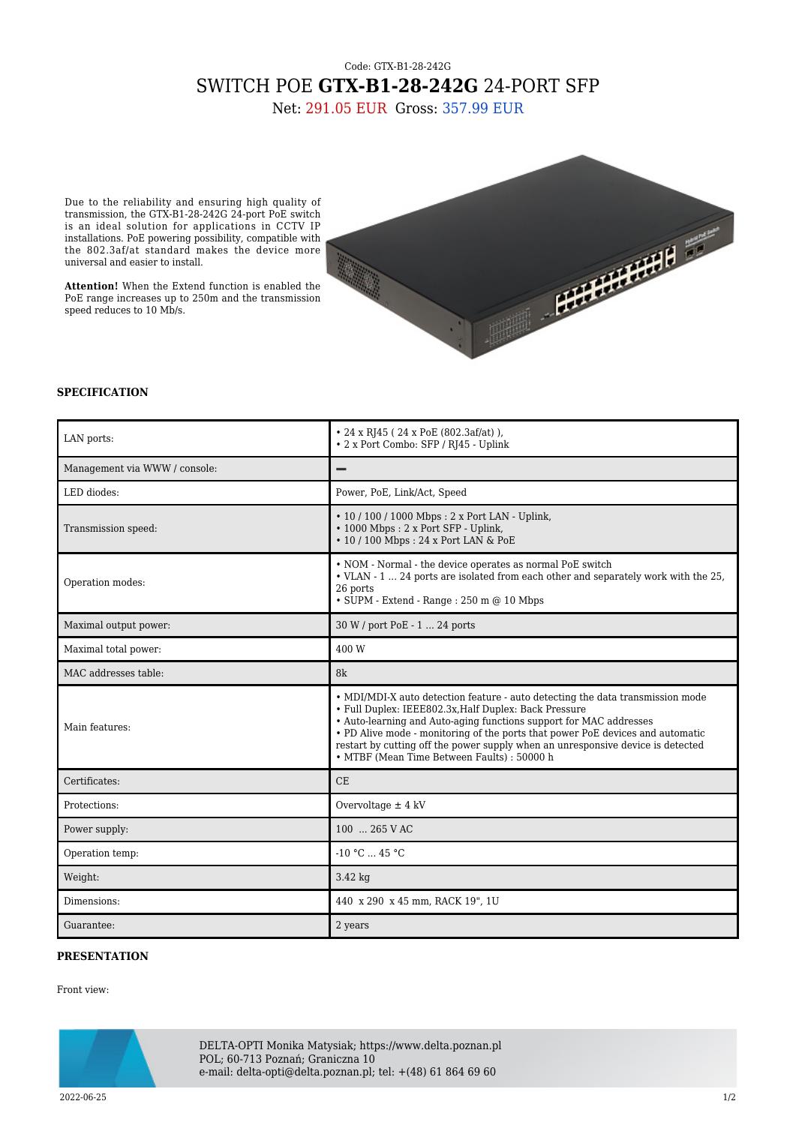## Code: GTX-B1-28-242G SWITCH POE **GTX-B1-28-242G** 24-PORT SFP

Net: 291.05 EUR Gross: 357.99 EUR

Due to the reliability and ensuring high quality of transmission, the GTX-B1-28-242G 24-port PoE switch is an ideal solution for applications in CCTV IP installations. PoE powering possibility, compatible with the 802.3af/at standard makes the device more universal and easier to install.

**Attention!** When the Extend function is enabled the PoE range increases up to 250m and the transmission speed reduces to 10 Mb/s.



## **SPECIFICATION**

| LAN ports:                    | • 24 x RJ45 (24 x PoE $(802.3af/at)$ ).<br>• 2 x Port Combo: SFP / RJ45 - Uplink                                                                                                                                                                                                                                                                                                                                                  |
|-------------------------------|-----------------------------------------------------------------------------------------------------------------------------------------------------------------------------------------------------------------------------------------------------------------------------------------------------------------------------------------------------------------------------------------------------------------------------------|
| Management via WWW / console: |                                                                                                                                                                                                                                                                                                                                                                                                                                   |
| LED diodes:                   | Power, PoE, Link/Act, Speed                                                                                                                                                                                                                                                                                                                                                                                                       |
| Transmission speed:           | • 10 / 100 / 1000 Mbps: 2 x Port LAN - Uplink,<br>• 1000 Mbps: 2 x Port SFP - Uplink,<br>• 10 / 100 Mbps: 24 x Port LAN & PoE                                                                                                                                                                                                                                                                                                     |
| Operation modes:              | • NOM - Normal - the device operates as normal PoE switch<br>• VLAN - 1  24 ports are isolated from each other and separately work with the 25,<br>26 ports<br>$\bullet$ SUPM - Extend - Range : 250 m @ 10 Mbps                                                                                                                                                                                                                  |
| Maximal output power:         | 30 W / port PoE - 1  24 ports                                                                                                                                                                                                                                                                                                                                                                                                     |
| Maximal total power:          | 400 W                                                                                                                                                                                                                                                                                                                                                                                                                             |
| MAC addresses table:          | 8k                                                                                                                                                                                                                                                                                                                                                                                                                                |
| Main features:                | • MDI/MDI-X auto detection feature - auto detecting the data transmission mode<br>• Full Duplex: IEEE802.3x, Half Duplex: Back Pressure<br>• Auto-learning and Auto-aging functions support for MAC addresses<br>• PD Alive mode - monitoring of the ports that power PoE devices and automatic<br>restart by cutting off the power supply when an unresponsive device is detected<br>• MTBF (Mean Time Between Faults) : 50000 h |
| Certificates:                 | CE                                                                                                                                                                                                                                                                                                                                                                                                                                |
| Protections:                  | Overvoltage $\pm$ 4 kV                                                                                                                                                                                                                                                                                                                                                                                                            |
| Power supply:                 | 100  265 V AC                                                                                                                                                                                                                                                                                                                                                                                                                     |
| Operation temp:               | $-10 °C$ 45 °C                                                                                                                                                                                                                                                                                                                                                                                                                    |
| Weight:                       | $3.42$ kg                                                                                                                                                                                                                                                                                                                                                                                                                         |
| Dimensions:                   | 440 x 290 x 45 mm, RACK 19", 1U                                                                                                                                                                                                                                                                                                                                                                                                   |
| Guarantee:                    | 2 years                                                                                                                                                                                                                                                                                                                                                                                                                           |

## **PRESENTATION**

Front view:



DELTA-OPTI Monika Matysiak; https://www.delta.poznan.pl POL; 60-713 Poznań; Graniczna 10 e-mail: delta-opti@delta.poznan.pl; tel: +(48) 61 864 69 60